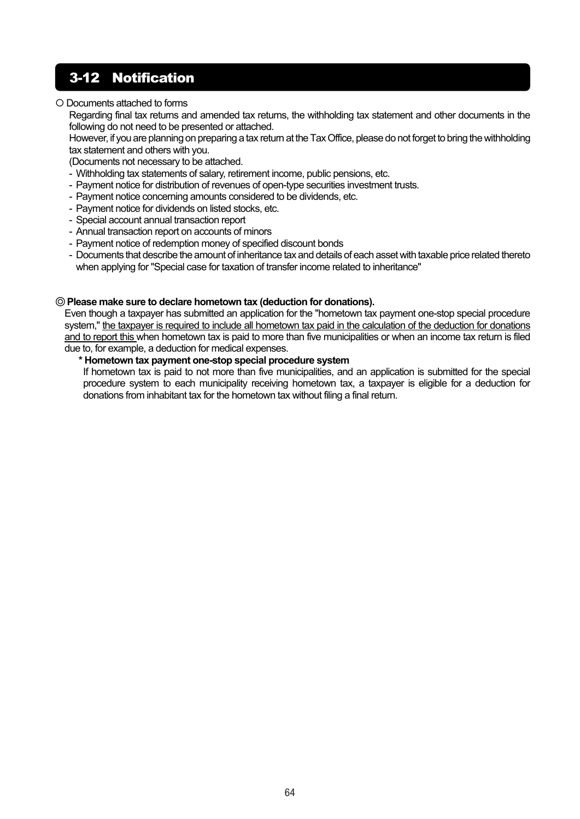## 3-12 Notification

### Documents attached to forms

Regarding final tax returns and amended tax returns, the withholding tax statement and other documents in the following do not need to be presented or attached.

However, if you are planning on preparing a tax return at the Tax Office, please do not forget to bring the withholding tax statement and others with you.

(Documents not necessary to be attached.

- Withholding tax statements of salary, retirement income, public pensions, etc.
- Payment notice for distribution of revenues of open-type securities investment trusts.
- Payment notice concerning amounts considered to be dividends, etc.
- Payment notice for dividends on listed stocks, etc.
- Special account annual transaction report
- Annual transaction report on accounts of minors
- Payment notice of redemption money of specified discount bonds
- Documents that describe the amount of inheritance tax and details of each asset with taxable price related thereto when applying for "Special case for taxation of transfer income related to inheritance"

#### ◎ **Please make sure to declare hometown tax (deduction for donations).**

Even though a taxpayer has submitted an application for the "hometown tax payment one-stop special procedure system," the taxpayer is required to include all hometown tax paid in the calculation of the deduction for donations and to report this when hometown tax is paid to more than five municipalities or when an income tax return is filed due to, for example, a deduction for medical expenses.

#### **\* Hometown tax payment one-stop special procedure system**

 If hometown tax is paid to not more than five municipalities, and an application is submitted for the special procedure system to each municipality receiving hometown tax, a taxpayer is eligible for a deduction for donations from inhabitant tax for the hometown tax without filing a final return.